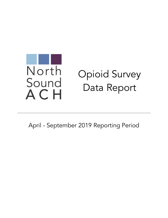# North Opioid Survey Sound Data ReportACH

April - September 2019 Reporting Period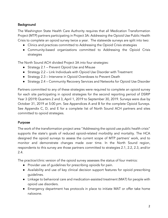# **Background**

The Washington State Health Care Authority requires that all Medication Transformation Project (MTP) partners participating in Project 3A: Addressing the Opioid Use Public Health Crisis to complete an opioid survey twice a year. The statewide surveys are split into two:

- Clinics and practices committed to Addressing the Opioid Crisis strategies
- Community-based organizations committed to Addressing the Opioid Crisis strategies

The North Sound ACH divided Project 3A into four strategies:

- Strategy 2.1 Prevent Opioid Use and Misuse
- Strategy 2.2 Link Individuals with Opioid Use Disorder with Treatment
- Strategy 2.3 Intervene in Opioid Overdoses to Prevent Death
- Strategy 2.4 Community Recovery Services and Networks for Opioid Use Disorder

Partners committed to any of these strategies were required to complete an opioid survey for each site participating in opioid strategies for the second reporting period of DSRIP Year 3 (2019) Quarters 2 and 3, April 1, 2019 to September 30, 2019. Surveys were due by October 31, 2019 at 5:00 pm. See Appendices A and B for the complete Opioid Surveys. See Appendix C, D, and E for a complete list of North Sound ACH partners and sites committed to opioid strategies.

# Purpose

The work of the transformation project area "Addressing the opioid use public health crisis" supports the state's goals of reduced opioid-related morbidity and mortality. The HCA designed the opioid surveys to assess the current scope of MTP partners' work, and to monitor and demonstrate changes made over time. In the North Sound region, respondents to this survey are those partners committed to strategies 2.1, 2.2, 2.3, and/or 2.4.

The practice/clinic version of the opioid survey assesses the status of four metrics:

- Provider use of guidelines for prescribing opioids for pain.
- Availability and use of key clinical decision support features for opioid prescribing guidelines.
- Linkage to behavioral care and medication-assisted treatment (MAT) for people with opioid use disorders.
- Emergency department has protocols in place to initiate MAT or offer take home naloxone.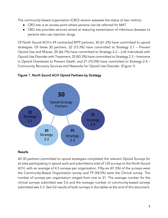The community-based organization (CBO) version assesses the status of two metrics:

- CBO site is an access point where persons can be referred for MAT.
- CBO site provides services aimed at reducing transmission of infectious diseases to persons who use injection drugs.

Of North Sound ACH's 49 contracted MTP partners, 30 (61.2%) have committed to opioid strategies. Of these 30 partners, 22 (73.3%) have committed to Strategy 2.1 – Prevent Opioid Use and Misuse, 20 (66.7%) have committed to Strategy 2.2 – Link Individuals with Opioid Use Disorder with Treatment, 25 (83.3%) have committed to Strategy 2.3 – Intervene in Opioid Overdoses to Prevent Death, and 21 (70.0%) have committed to Strategy 2.4 – Community Recovery Services and Networks for Opioid Use Disorder. (Figure 1)



## Figure 1. North Sound ACH Opioid Partners by Strategy

#### Results

All 30 partners committed to opioid strategies completed the relevant Opioid Surveys for all sites participating in opioid work and submitted a total of 135 surveys to the North Sound ACH, with an average of 4.5 surveys per organization. Fifty-six (41.5%) of the surveys were the Community-Based Organization survey and 79 (58.5%) were the Clinical survey. The number of surveys per organization ranged from one to 31. The average number for the clinical surveys submitted was 5.6 and the average number of community-based surveys submitted was 3.3. See full results of both surveys in the tables at the end of this document.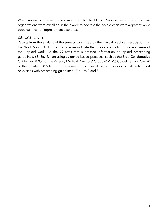When reviewing the responses submitted to the Opioid Surveys, several areas where organizations were excelling in their work to address the opioid crisis were apparent while opportunities for improvement also arose.

#### *Clinical Strengths*

Results from the analysis of the surveys submitted by the clinical practices participating in the North Sound ACH opioid strategies indicate that they are excelling in several areas of their opioid work. Of the 79 sites that submitted information on opioid prescribing guidelines, 68 (86.1%) are using evidence-based practices, such as the Bree Collaborative Guidelines (8.9%) or the Agency Medical Directors' Group (AMDG) Guidelines (79.7%). 70 of the 79 sites (88.6%) also have some sort of clinical decision support in place to assist physicians with prescribing guidelines. (Figures 2 and 3)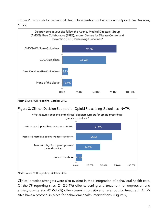Figure 2. Protocols for Behavioral Health Intervention for Patients with Opioid Use Disorder,  $N=79$ .



North Sound ACH Reporting, October 2019.





North Sound ACH Reporting, October 2019.

Clinical practice strengths were also evident in their integration of behavioral health care. Of the 79 reporting sites, 24 (30.4%) offer screening and treatment for depression and anxiety on-site and 42 (53.2%) offer screening on site and refer out for treatment. All 79 sites have a protocol in place for behavioral health interventions. (Figure 4)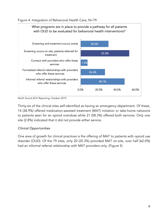Figure 4. Integration of Behavioral Health Care, N=79.



North Sound ACH Reporting, October 2019.

Thirty-six of the clinical sites self-identified as having an emergency department. Of these, 14 (38.9%) offered medication-assisted treatment (MAT) initiation or take-home naloxone to patients seen for an opioid overdose while 21 (58.3%) offered both services. Only one site (2.8%) indicated that it did not provide either service.

# *Clinical Opportunities*

One area of growth for clinical practices is the offering of MAT to patients with opioid use disorder (OUD). Of the 79 sites, only 20 (25.3%) provided MAT on-site, over half (62.0%) had an informal referral relationship with MAT providers only. (Figure 5)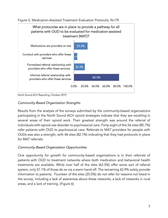



North Sound ACH Reporting, October 2019.

#### *Community-Based Organization Strengths*

Results from the analysis of the surveys submitted by the community-based organizations participating in the North Sound ACH opioid strategies indicate that they are excelling in several areas of their opioid work. Their greatest strength was around the referral of individuals with opioid use disorder to psychosocial care. Forty-eight of the 56 sites (85.7%) refer patients with OUD to psychosocial care. Referrals to MAT providers for people with OUDs was also a strength, with 46 sites (82.1%) indicating that they had protocols in place for MAT referrals.

#### *Community-Based Organization Opportunities*

One opportunity for growth for community-based organizations is in their referrals of patients with OUD to treatment networks where both medication and behavioral health treatments are available. While over half of the sites (62.5%) offer some sort of referral system, only 57.1% of those do so via a warm hand off. The remaining 42.9% solely provide information to patients. Fourteen of the sites (25.0%) do not refer for reasons not listed in the survey, including a lack of awareness about these networks, a lack of networks in rural areas, and a lack of training. (Figure 6)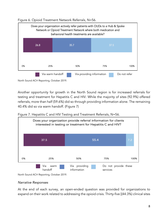

Figure 6. Opioid Treatment Network Referrals, N=56.

Another opportunity for growth in the North Sound region is for increased referrals for testing and treatment for Hepatitis C and HIV. While the majority of sites (92.9%) offered referrals, more than half (59.6%) did so through providing information alone. The remaining 40.4% did so via warm handoff. (Figure 7)

Figure 7. Hepatitis C and HIV Testing and Treatment Referrals, N=56.



North Sound ACH Reporting, October 2019.

#### *Narrative Responses*

At the end of each survey, an open-ended question was provided for organizations to expand on their work related to addressing the opioid crisis. Thirty-five [(44.3%) clinical sites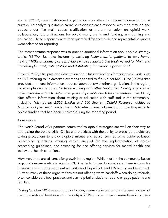and 22 (39.3%) community-based organization sites offered additional information in the surveys. To analyze qualitative narrative responses each response was read through and coded under five main codes: clarification or more information on opioid work, collaboration, future directions for opioid work, grants and funding, and training and education. These responses were then quantified for each code and representative quotes were selected for reporting.

The most common response was to provide additional information about opioid strategy tactics (66.7%). Examples include "*prescribing Naloxone…for patients to take home*, having "*100% of...primary care providers who see adults (40 in total) waived for MAT*, and "r*eceiving fentanyl [testing] strips and distributing for overdose prevention.*"

Eleven (19.3%) sites provided information about future directions for their opioid work, such as EMS referring to "*a diversion center as opposed to the ED*" for MAT. Nine (15.8%) sites provided additional information about collaborations with other organizations in the region, for example on site noted *"actively working with other Snohomish County agencies to collect and share data to determine gaps and possible needs for intervention."* Two (3.5%) sites offered information about training or education with staff and in the community, including "*distributing 2,500 English and 500 Spanish [Opioid Resource] guides to hundreds of partners."* Finally, two (3.5%) sites offered information on grants specific to opioid funding that had been received during the reporting period.

#### **Conclusions**

The North Sound ACH partners committed to opioid strategies are well on their way to addressing the opioid crisis. Clinics and practices with the ability to prescribe opioids are taking precautions to prevent opioid misuse and abuse, such as using evidence-based prescribing guidelines, offering clinical support for the implementation of opioid prescribing guidelines, and screening for and offering services for mental health and behavioral health conditions.

However, there are still areas for growth in the region. While most of the community-based organizations are routinely referring OUD patients for psychosocial care, there is room for increasing referrals to treatment networks and Hepatitis C and HIV testing and treatment. Further, many of these organizations are not offering warm handoffs when doing referrals, often considered a best practice, and can help build relationships and engage patients and families.

During October 2019 reporting opioid surveys were collected on the site level instead of the organizational level as was done in April 2019. This led to an increase from 29 surveys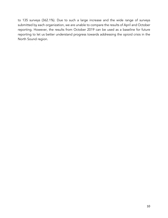to 135 surveys (362.1%). Due to such a large increase and the wide range of surveys submitted by each organization, we are unable to compare the results of April and October reporting. However, the results from October 2019 can be used as a baseline for future reporting to let us better understand progress towards addressing the opioid crisis in the North Sound region.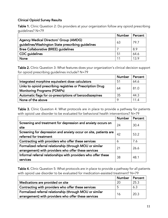## Clinical Opioid Survey Results

Table 1. Clinic Question 2: Do providers at your organization follow any opioid prescribing guidelines? N=79

|                                                    | <b>Number</b> | Percent |
|----------------------------------------------------|---------------|---------|
| Agency Medical Directors' Group (AMDG)             | 63            | 79.7    |
| guidelines/Washington State prescribing guidelines |               |         |
| <b>Bree Collaborative (BREE) guidelines</b>        |               | 8.9     |
| <b>CDC</b> guidelines                              | 51            | 64.6    |
| <b>None</b>                                        |               | 13.9    |

Table 2. Clinic Question 3: What features does your organization's clinical decision support for opioid prescribing guidelines include? N=79

|                                                                                                   | <b>Number</b> | Percent |
|---------------------------------------------------------------------------------------------------|---------------|---------|
| Integrated morphine equivalent dose calculators                                                   | -51           | 64.6    |
| Links to opioid prescribing registries or Prescription Drug<br><b>Monitoring Programs (PDMPs)</b> | 64            | 81.0    |
| Automatic flags for co-prescriptions of benzodiazepines                                           | 35            | 44.3    |
| None of the above                                                                                 |               | 11.4    |

Table 3. Clinic Question 4: What protocols are in place to provide a pathway for patients with opioid use disorder to be evaluated for behavioral health interventions? N=79

|                                                                  | <b>Number</b> | Percent |
|------------------------------------------------------------------|---------------|---------|
| Screening and treatment for depression and anxiety occurs on     | 24            | 30.4    |
| site                                                             |               |         |
| Screening for depression and anxiety occur on site, patients are | 42            | 53.2    |
| referred for treatment                                           |               |         |
| Contracting with providers who offer these services              | 6             | 7.6     |
| Formalized referral relationship (through MOU or similar         | 21            | 26.6    |
| arrangement) with providers who offer these services             |               |         |
| Informal referral relationships with providers who offer these   | 38            | 48.1    |
| services                                                         |               |         |

Table 4. Clinic Question 5: What protocols are in place to provide a pathway for all patients with opioid use disorder to be evaluated for medication-assisted treatment? N=79

|                                                          | <b>Number</b> | Percent |
|----------------------------------------------------------|---------------|---------|
| Medications are provided on site                         | 20            | 25.3    |
| Contracting with providers who offer these services      |               | 6.3     |
| Formalized referral relationship (through MOU or similar | 16            | 20.3    |
| arrangement) with providers who offer these services     |               |         |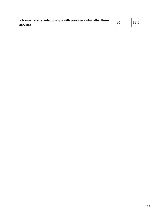| Informal referral relationships with providers who offer these | 66 | 83.5 |
|----------------------------------------------------------------|----|------|
| services                                                       |    |      |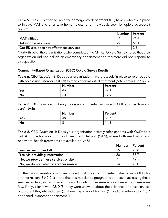**Table 5.** Clinic Question 6: Does your emergency department (ED) have protocols in place to initiate MAT and offer take home naloxone for individuals seen for opioid overdose?  $N = 36*$ 

|                                                  | Number | Percent |
|--------------------------------------------------|--------|---------|
| <b>MAT</b> initiation                            | 34     | 94.4    |
| Take-home naloxone                               | $\sim$ | 61.1    |
| $\mid$ Our ED site does not offer these services |        |         |

\*Forty-three of the organizations who completed the Clinical Opioid Survey noted that their organization did not include an emergency department and therefore did not respond to this question.

## Community-Based Organization (CBO) Opioid Survey Results

Table 6. CBO Question 2: Does your organization have protocols in place to refer people with opioid use disorders (OUDs) to medication-assisted treatment (MAT) providers? N=56

|     | <b>Number</b>        | Percent                                                          |
|-----|----------------------|------------------------------------------------------------------|
| Yes | -46                  | ററ<br>oz.                                                        |
| No  | 1 <sup>c</sup><br>טו | $\overline{\phantom{a}}$<br>- C<br>$\overline{\phantom{a}}$<br>. |

Table 7. CBO Question 3: Does your organization refer people with OUDs for psychosocial care? N=56

|           | Number | Percent |
|-----------|--------|---------|
| Yes       | 48     | 85.7    |
| <b>No</b> | u      | 14.3    |

Table 8. CBO Question 4: Does your organization actively refer patients with OUDs to a Hub & Spoke Network or Opioid Treatment Network (OTN), where both medication and behavioral health treatments are available? N=56

|                                        | Number | Percent |
|----------------------------------------|--------|---------|
| Yes, via warm handoff                  |        | 26.8    |
| Yes, via providing information         | 20     | 35.7    |
| No, we provide these services onsite   |        | 12.5    |
| No, we do not refer for another reason | 1⊿     | 25.0    |

Of the 14 organizations who responded that they did not refer patients with OUD for another reason, 6 (42.9%) noted that this was due to geographic barriers to accessing these services, notably in San Juan and Island County. Other reason noted were that there were few, if any, clients with OUD (3), they were unaware about the existence of these services or unsure if they utilized them (3), there was a lack of training (1), and that referrals for OUD happened in another department (1).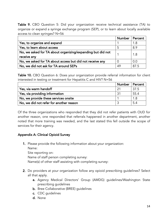Table 9. CBO Question 5: Did your organization receive technical assistance (TA) to organize or expand a syringe exchange program (SEP), or to learn about locally available access to clean syringes? N=56

|                                                            | <b>Number</b> | Percent |
|------------------------------------------------------------|---------------|---------|
| Yes, to organize and expand                                |               | 1.8     |
| Yes, to learn about access                                 | -5            | 8.9     |
| No, we asked for TA about organizing/expanding but did not |               | 1.8     |
| receive any                                                |               |         |
| No, we asked for TA about access but did not receive any   |               | 0.0     |
| No, we did not ask for TA around SEPs                      | 49            | 87.5    |

Table 10. CBO Question 6: Does your organization provide referral information for client interested in testing or treatment for Hepatitis C and HIV? N=56

|                                         | Number | Percent |
|-----------------------------------------|--------|---------|
| Yes, via warm handoff                   |        | 37.5    |
| Yes, via providing information          |        | 55.4    |
| No, we provide these services onsite    |        | 1.8     |
| No, we did not refer for another reason |        | 5.4     |

Of the three organizations who responded that they did not refer patients with OUD for another reason, one responded that referrals happened in another department, another noted that more training was needed, and the last stated this fell outside the scope of services for their agency.

#### Appendix A: Clinical Opioid Survey

1. Please provide the following information about your organization:

Name:

Site reporting on:

Name of staff person completing survey:

Name(s) of other staff assisting with completing survey:

- 2. Do providers at your organization follow any opioid prescribing guidelines? Select all that apply.
	- a. Agency Medical Directors' Group (AMDG) guidelines/Washington State prescribing guidelines
	- **b.** Bree Collaborative (BREE) guidelines
	- c. CDC guidelines
	- d. None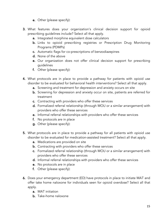- e. Other (please specify):
- 3. What features does your organization's clinical decision support for opioid prescribing guidelines include? Select all that apply.
	- a. Integrated morphine equivalent dose calculators
	- b. Links to opioid prescribing registries or Prescription Drug Monitoring Programs (PDMPs)
	- c. Automatic flags for co-prescriptions of benzodiazepines
	- d. None of the above
	- e. Our organization does not offer clinical decision support for prescribing guidelines
	- f. Other (please specify):
- 4. What protocols are in place to provide a pathway for patients with opioid use disorder to be evaluated for behavioral health interventions? Select all that apply.
	- a. Screening and treatment for depression and anxiety occurs on site
	- b. Screening for depression and anxiety occur on site, patients are referred for treatment
	- c. Contracting with providers who offer these services
	- d. Formalized referral relationship (through MOU or a similar arrangement) with providers who offer these services
	- e. Informal referral relationships with providers who offer these services
	- f. No protocols are in place
	- g. Other (please specify):
- 5. What protocols are in place to provide a pathway for all patients with opioid use disorder to be evaluated for medication-assisted treatment? Select all that apply.
	- **a.** Medications are provided on site
	- **b.** Contracting with providers who offer these services
	- c. Formalized referral relationship (through MOU or a similar arrangement) with providers who offer these services
	- d. Informal referral relationships with providers who offer these services
	- e. No protocols are in place
	- f. Other (please specify):
- 6. Does your emergency department (ED) have protocols in place to initiate MAT and offer take home naloxone for individuals seen for opioid overdose? Select all that apply.
	- a. MAT initiation
	- b. Take-home naloxone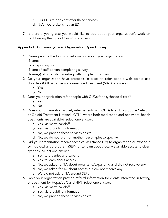- c. Our ED site does not offer these services
- d. N/A Oure site is not an ED
- 7. Is there anything else you would like to add about your organization's work on "Addressing the Opioid Crisis" strategies?

#### Appendix B: Community-Based Organization Opioid Survey

1. Please provide the following information about your organization:

Name:

Site reporting on:

Name of staff person completing survey:

Name(s) of other staff assisting with completing survey:

- 2. Do your organization have protocols in place to refer people with opioid use disorders (OUDs) to medication-assisted treatment (MAT) providers?
	- a. Yes
	- b. No
- 3. Does your organization refer people with OUDs for psychosocial care?
	- a. Yes
	- b. No
- 4. Does your organization actively refer patients with OUDs to a Hub & Spoke Network or Opioid Treatment Network (OTN), where both medication and behavioral health treatments are available? Select one answer.
	- a. Yes, via warm handoff
	- **b.** Yes, via providing information
	- c. No, we provide these services onsite
	- d. No, we do not refer for another reason (please specify):
- 5. Did your organization receive technical assistance (TA) to organization or expand a syringe exchange program (SEP), or to learn about locally available access to clean syringes? Select one answer.
	- **a.** Yes, to organize and expand
	- **b.** Yes, to learn about access
	- c. No, we asked for TA about organizing/expanding and did not receive any
	- d. No, we asked for TA about access but did not receive any
	- e. We did not ask for TA around SEPs
- 6. Does your organization provide referral information for clients interested in testing or treatment for Hepatitis C and HIV? Select one answer.
	- a. Yes, via warm handoff
	- **b.** Yes, via providing information
	- c. No, we provide these services onsite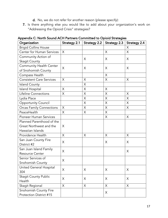- d. No, we do not refer for another reason (please specify):
- 7. Is there anything else you would like to add about your organization's work on "Addressing the Opioid Crisis" strategies?

| Organization                    |   | Strategy 2.1   Strategy 2.2   Strategy 2.3 |          | <b>Strategy 2.4</b> |
|---------------------------------|---|--------------------------------------------|----------|---------------------|
| <b>Brigid Collins House</b>     |   |                                            |          | X                   |
| Center for Human Services       | X |                                            | X        | X                   |
| Community Action of             |   | X                                          | X        | X                   |
| Skagit County                   |   |                                            |          |                     |
| Community Health Center         | X | X                                          | X        | X                   |
| of Snohomish County             |   |                                            |          |                     |
| Compass Health                  |   |                                            | X        |                     |
| <b>Consistent Care Services</b> | X | X                                          | X        | X                   |
| <b>Island County</b>            |   | X                                          |          |                     |
| <b>Island Hospital</b>          | X | X                                          | X        |                     |
| Lifeline Connections            | X | $\times$                                   | X        | $\times$            |
| Lydia Place                     |   | X                                          | X        | X                   |
| <b>Opportunity Council</b>      |   | X                                          | X        | X                   |
| <b>Orcas Family Connections</b> | X | X                                          | X        | X                   |
| PeaceHealth                     | X | X                                          | $\times$ |                     |
| <b>Pioneer Human Services</b>   |   |                                            | X        | $\times$            |
| Planned Parenthood of the       |   |                                            |          |                     |
| Great Northwest and the         | X |                                            |          |                     |
| Hawaiian Islands                |   |                                            |          |                     |
| Providence Health               | X | $\times$                                   | X        | X                   |
| San Juan County Fire            | X |                                            | X        | X                   |
| District #2                     |   |                                            |          |                     |
| San Juan Island Family          | X |                                            |          | X                   |
| <b>Resource Center</b>          |   |                                            |          |                     |
| Senior Services of              | X |                                            |          |                     |
| Snohomish County                |   |                                            |          |                     |
| United General Hospital         | X | X                                          | X        | X                   |
| 304                             |   |                                            |          |                     |
| <b>Skagit County Public</b>     | X | X                                          | X        | X                   |
| Health                          |   |                                            |          |                     |
| Skagit Regional                 | X | X                                          | X        | X                   |
| Snohomish County Fire           |   |                                            | X        |                     |
| Protection District #15         |   |                                            |          |                     |

Appendix C: North Sound ACH Partners Committed to Opioid Strategies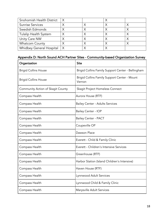| Snohomish Health District | $\times$ |  |  |
|---------------------------|----------|--|--|
| Sunrise Services          |          |  |  |
| Swedish Edmonds           |          |  |  |
| Tulalip Health System     |          |  |  |
| Unity Care NW             |          |  |  |
| <b>Whatcom County</b>     |          |  |  |
| Whidbey General Hospital  | X        |  |  |

# Appendix D: North Sound ACH Partner Sites - Community-based Organization Survey

| Organization                      | <b>Site</b>                                            |
|-----------------------------------|--------------------------------------------------------|
| <b>Brigid Collins House</b>       | Brigid Collins Family Support Center - Bellingham      |
| <b>Brigid Collins House</b>       | Brigid Collins Family Support Center - Mount<br>Vernon |
| Community Action of Skagit County | Skagit Project Homeless Connect                        |
| Compass Health                    | Aurora House (RTF)                                     |
| Compass Health                    | <b>Bailey Center - Adults Services</b>                 |
| Compass Health                    | <b>Bailey Center - IOP</b>                             |
| Compass Health                    | <b>Bailey Center - PACT</b>                            |
| Compass Health                    | Coupeville OP                                          |
| Compass Health                    | Dawson Place                                           |
| Compass Health                    | Everett - Child & Family Clinic                        |
| Compass Health                    | Everett - Children's Intensive Services                |
| Compass Health                    | Greenhouse (RTF)                                       |
| Compass Health                    | Harbor Station (Island Children's Intensive)           |
| Compass Health                    | Haven House (RTF)                                      |
| Compass Health                    | Lynnwood Adult Services                                |
| Compass Health                    | Lynnwood Child & Family Clinic                         |
| Compass Health                    | Marysville Adult Services                              |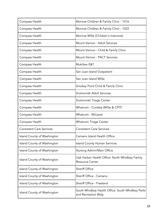| Compass Health                  | Monroe Children & Family Clinic - 1016                                   |
|---------------------------------|--------------------------------------------------------------------------|
| Compass Health                  | Monroe Children & Family Clinic - 1022                                   |
| Compass Health                  | Monroe WISe (Children's Intensive)                                       |
| Compass Health                  | Mount Vernon - Adult Services                                            |
| Compass Health                  | Mount Vernon - Child & Family Clinic                                     |
| Compass Health                  | Mount Vernon - PACT Services                                             |
| Compass Health                  | Mukilteo E&T                                                             |
| Compass Health                  | San Juan Island Outpatient                                               |
| Compass Health                  | San Juan Island WISe                                                     |
| Compass Health                  | Smokey Point Child & Family Clinic                                       |
| Compass Health                  | Snohomish Adult Services                                                 |
| Compass Health                  | Snohomish Triage Center                                                  |
| Compass Health                  | Whatcom - Cordata (WISe & CPIT)                                          |
| Compass Health                  | Whatcom - McLeod                                                         |
| Compass Health                  | <b>Whatcom Triage Center</b>                                             |
| <b>Consistent Care Services</b> | <b>Consistent Care Services</b>                                          |
| Island County of Washington     | Camano Island Health Office                                              |
| Island County of Washington     | <b>Island County Human Services</b>                                      |
| Island County of Washington     | Nursing Admin/Main Office                                                |
| Island County of Washington     | Oak Harbor Health Office: North Whidbey Family<br><b>Resource Center</b> |
| Island County of Washington     | <b>Sheriff Office</b>                                                    |
| Island County of Washington     | Sheriff Office - Camano                                                  |
| Island County of Washington     | Sheriff Office - Freeland                                                |
| Island County of Washington     | South Whidbey Health Office: South Whidbey Parks<br>and Recreation Bldg  |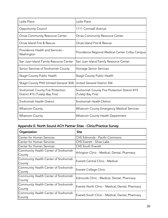| Lydia Place                                                         | Lydia Place                                                         |
|---------------------------------------------------------------------|---------------------------------------------------------------------|
| <b>Opportunity Council</b>                                          | 1111 Cornwall Avenue                                                |
| <b>Orcas Community Resource Center</b>                              | <b>Orcas Community Resource Center</b>                              |
| Orcas Island Fire & Rescue                                          | Orcas Island Fire & Rescue                                          |
| Providence Health and Services -<br>Washington                      | Providence Regional Medical Center Colby Campus                     |
| San Juan Island Family Resource Center                              | San Juan Island Family Resource Center                              |
| Senior Services of Snohomish County                                 | Homage Senior Services                                              |
| Skagit County Public Health                                         | Skagit County Public Health                                         |
| Skagit County PHD (United General 304)                              | United General District 304                                         |
| Snohomish County Fire Protection<br>District #15 (Tulalip Bay Fire) | Snohomish County Fire Protection District #15<br>(Tulalip Bay Fire) |
| Snohomish Health District                                           | Snohomish Health District                                           |
| <b>Whatcom County</b>                                               | <b>Whatcom County Emergency Medical Services</b>                    |
| <b>Whatcom County</b>                                               | <b>Whatcom County Health Department</b>                             |

# Appendix E: North Sound ACH Partner Sites - Clinic/Practice Survey

| Organization                         | <b>Site</b>                                      |  |
|--------------------------------------|--------------------------------------------------|--|
| <b>Center for Human Services</b>     | CHS Edmonds - Pacific Commons                    |  |
| <b>Center for Human Services</b>     | <b>CHS Everett - Silver Lake</b>                 |  |
| <b>Center for Human Services</b>     | <b>CHS South Everett</b>                         |  |
| Community Health Center of Snohomish | Arlington Clinic - Medical, Dental, Pharmacy     |  |
| County                               |                                                  |  |
| Community Health Center of Snohomish | Everett Central Clinic - Medical                 |  |
| County                               |                                                  |  |
| Community Health Center of Snohomish | Everett College Clinic                           |  |
| County                               |                                                  |  |
| Community Health Center of Snohomish |                                                  |  |
| County                               | Edmonds Clinic - Medical, Dental, Pharmacy       |  |
| Community Health Center of Snohomish |                                                  |  |
| County                               | Everett North Clinic - Medical, Dental, Pharmacy |  |
| Community Health Center of Snohomish | Everett South Clinic - Medical, Dental, Pharmacy |  |
| County                               |                                                  |  |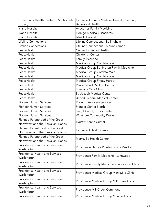| Community Health Center of Snohomish | Lynnwood Clinic - Medical, Dental, Pharmacy,  |  |
|--------------------------------------|-----------------------------------------------|--|
| County                               | <b>Behavioral Health</b>                      |  |
| <b>Island Hospital</b>               | Anacortes Family Medicine                     |  |
| Island Hospital                      | <b>Fidalgo Medical Associates</b>             |  |
| Island Hospital                      | <b>Island Hospital</b>                        |  |
| Lifeline Connections                 | Lifeline Connections - Bellingham             |  |
| Lifeline Connections                 | Lifeline Connections - Mount Vernon           |  |
| PeaceHealth                          | Center for Senior Health                      |  |
| PeaceHealth                          | Childbirth Center                             |  |
| PeaceHealth                          | <b>Family Medicine</b>                        |  |
| PeaceHealth                          | Medical Group Cordata South                   |  |
| PeaceHealth                          | Medical Group Burlington Family Medicine      |  |
| PeaceHealth                          | Medical Group Cordata Main                    |  |
| PeaceHealth                          | Medical Group Cordata South                   |  |
| PeaceHealth                          | Medical Group Friday Harbor                   |  |
| PeaceHealth                          | Peace Island Medical Center                   |  |
| PeaceHealth                          | <b>Specialty Care Clinic</b>                  |  |
| PeaceHealth                          | St. Joseph Medical Center                     |  |
| PeaceHealth                          | United General Medical Center                 |  |
| <b>Pioneer Human Services</b>        | Phoenix Recovery Services                     |  |
| Pioneer Human Services               | Pioneer Center North                          |  |
| <b>Pioneer Human Services</b>        | Skagit County Crisis Center                   |  |
| <b>Pioneer Human Services</b>        | <b>Whatcom Community Detox</b>                |  |
| Planned Parenthood of the Great      |                                               |  |
| Northwest and the Hawaiian Islands   | <b>Everett Health Center</b>                  |  |
| Planned Parenthood of the Great      |                                               |  |
| Northwest and the Hawaiian Islands   | Lynnwood Health Center                        |  |
| Planned Parenthood of the Great      | Marysville Health Center                      |  |
| Northwest and the Hawaiian Islands   |                                               |  |
| Providence Health and Services-      | Providence Harbor Pointe Clinic - Mukilteo    |  |
| Washington                           |                                               |  |
| Providence Health and Services-      | Providence Family Medicine - Lynnwood         |  |
| Washington                           |                                               |  |
| Providence Health and Services-      | Providence Family Medicine - Snohomish Clinic |  |
| Washington                           |                                               |  |
| Providence Health and Services-      | Providence Medical Group Marysville Clinic    |  |
| Washington                           |                                               |  |
| Providence Health and Services-      | Providence Medical Group Mill Creek Clinic    |  |
| Washington                           |                                               |  |
| Providence Health and Services-      | Providence Mill Creek Commons                 |  |
| Washington                           |                                               |  |
| Providence Health and Services-      | Providence Medical Group Monroe Clinic        |  |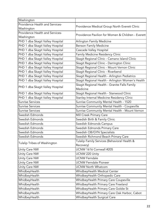| Washington                       |                                                    |  |
|----------------------------------|----------------------------------------------------|--|
| Providence Health and Services-  |                                                    |  |
| Washington                       | Providence Medical Group North Everett Clinic      |  |
| Providence Health and Services-  | Providence Pavilion for Women & Children - Everett |  |
| Washington                       |                                                    |  |
| PHD 1 dba Skagit Valley Hospital | Arlington Family Medicine                          |  |
| PHD 1 dba Skagit Valley Hospital | <b>Benson Family Medicine</b>                      |  |
| PHD 1 dba Skagit Valley Hospital | Cascade Valley Hospital                            |  |
| PHD 1 dba Skagit Valley Hospital | Family Medicine Residency Clinic                   |  |
| PHD 1 dba Skagit Valley Hospital | Skagit Regional Clinic - Camano Island Clinic      |  |
| PHD 1 dba Skagit Valley Hospital | Skagit Regional Clinic - Darrington Clinic         |  |
| PHD 1 dba Skagit Valley Hospital | Skagit Regional Clinic - Mount Vernon Clinic       |  |
| PHD 1 dba Skagit Valley Hospital | Skagit Regional Clinic - Riverbend                 |  |
| PHD 1 dba Skagit Valley Hospital | Skagit Regional Health - Arlington Pediatrics      |  |
| PHD 1 dba Skagit Valley Hospital | Skagit Regional Health - Arlington Women's Health  |  |
| PHD 1 dba Skagit Valley Hospital | Skagit Regional Health - Granite Falls Family      |  |
|                                  | Medicine                                           |  |
| PHD 1 dba Skagit Valley Hospital | Skagit Regional Health - Stanwood Clinic           |  |
| PHD 1 dba Skagit Valley Hospital | Stanley Internal Medicine Residency Clinic         |  |
| <b>Sunrise Services</b>          | Sunrise Community Mental Health - 1520             |  |
| <b>Sunrise Services</b>          | Sunrise Community Mental Health - Coupeville       |  |
| <b>Sunrise Services</b>          | Sunrise Community Mental Health - Mount Vernon     |  |
| Swedish Edmonds                  | Mill Creek Primary Care                            |  |
| Swedish Edmonds                  | Swedish Birth & Family Clinic                      |  |
| Swedish Edmonds                  | Swedish Edmonds Campus                             |  |
| Swedish Edmonds                  | Swedish Edmonds Primary Care                       |  |
| Swedish Edmonds                  | Swedish OB/GYN Specialists                         |  |
| Swedish Edmonds                  | Swedish Richmond Beach Primary Care                |  |
| Tulalip Tribes of Washington     | Tulalip Family Services (Behavioral Health &       |  |
|                                  | Recovery)                                          |  |
| Unity Care NW                    | UCNW 1616 Cornwall #205                            |  |
| Unity Care NW                    | UCNW 220 Unity                                     |  |
| Unity Care NW                    | <b>UCNW Ferndale</b>                               |  |
| Unity Care NW                    | <b>UCNW Ferndale Pioneer</b>                       |  |
| Unity Care NW                    | <b>UCNW North Whatcom</b>                          |  |
| WhidbeyHealth                    | WhidbeyHealth Medical Center                       |  |
| WhidbeyHealth                    | WhidbeyHealth Orthopedic Care                      |  |
| WhidbeyHealth                    | WhidbeyHealth Primary Care Coupeville              |  |
| WhidbeyHealth                    | WhidbeyHealth Primary Care Freeland                |  |
| WhidbeyHealth                    | WhidbeyHealth Primary Care Goldie St               |  |
| WhidbeyHealth                    | WhidbeyHealth Primary Care Oak Harbor, Cabot       |  |
| WhidbeyHealth                    | WhidbeyHealth Surgical Care                        |  |